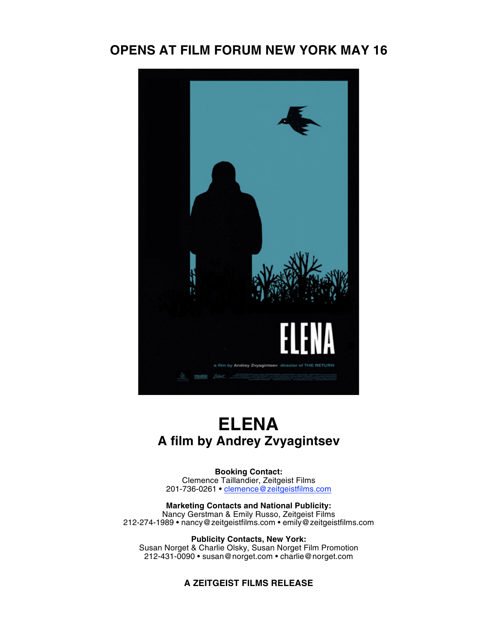### **OPENS AT FILM FORUM NEW YORK MAY 16**



## **ELENA A film by Andrey Zvyagintsev**

**Booking Contact:** Clemence Taillandier, Zeitgeist Films 201-736-0261 • <u>clemence@zeitgeistfilms.com</u>

**Marketing Contacts and National Publicity:** Nancy Gerstman & Emily Russo, Zeitgeist Films 212-274-1989 • nancy@zeitgeistfilms.com • emily@zeitgeistfilms.com

**Publicity Contacts, New York:** Susan Norget & Charlie Olsky, Susan Norget Film Promotion 212-431-0090 • susan@norget.com • charlie@norget.com

#### **A ZEITGEIST FILMS RELEASE**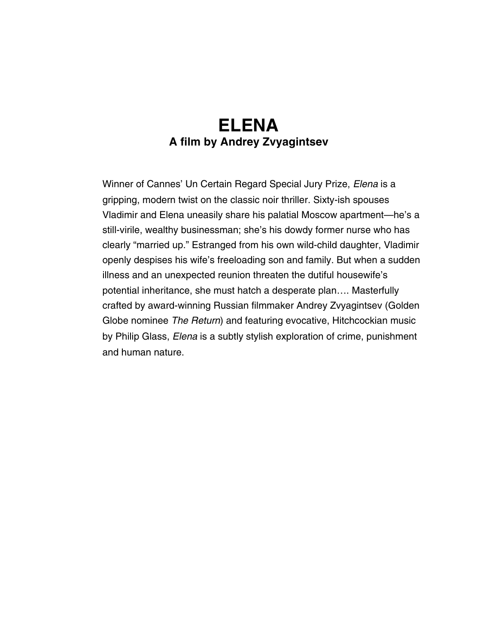## **ELENA A film by Andrey Zvyagintsev**

Winner of Cannes' Un Certain Regard Special Jury Prize, *Elena* is a gripping, modern twist on the classic noir thriller. Sixty-ish spouses Vladimir and Elena uneasily share his palatial Moscow apartment—he's a still-virile, wealthy businessman; she's his dowdy former nurse who has clearly "married up." Estranged from his own wild-child daughter, Vladimir openly despises his wife's freeloading son and family. But when a sudden illness and an unexpected reunion threaten the dutiful housewife's potential inheritance, she must hatch a desperate plan…. Masterfully crafted by award-winning Russian filmmaker Andrey Zvyagintsev (Golden Globe nominee *The Return*) and featuring evocative, Hitchcockian music by Philip Glass, *Elena* is a subtly stylish exploration of crime, punishment and human nature.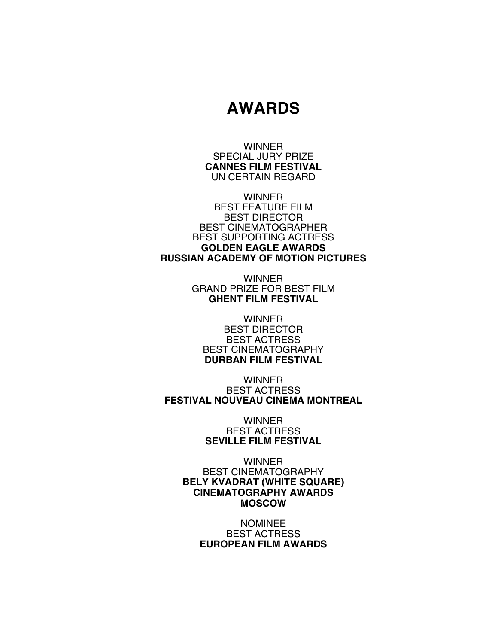## **AWARDS**

**WINNER** SPECIAL JURY PRIZE **CANNES FILM FESTIVAL** UN CERTAIN REGARD

**WINNER** BEST FEATURE FILM BEST DIRECTOR BEST CINEMATOGRAPHER BEST SUPPORTING ACTRESS **GOLDEN EAGLE AWARDS RUSSIAN ACADEMY OF MOTION PICTURES**

> **WINNER** GRAND PRIZE FOR BEST FILM **GHENT FILM FESTIVAL**

**WINNER** BEST DIRECTOR BEST ACTRESS BEST CINEMATOGRAPHY **DURBAN FILM FESTIVAL**

**WINNER** BEST ACTRESS **FESTIVAL NOUVEAU CINEMA MONTREAL**

> **WINNER** BEST ACTRESS **SEVILLE FILM FESTIVAL**

**WINNER** BEST CINEMATOGRAPHY **BELY KVADRAT (WHITE SQUARE) CINEMATOGRAPHY AWARDS MOSCOW**

> NOMINEE BEST ACTRESS **EUROPEAN FILM AWARDS**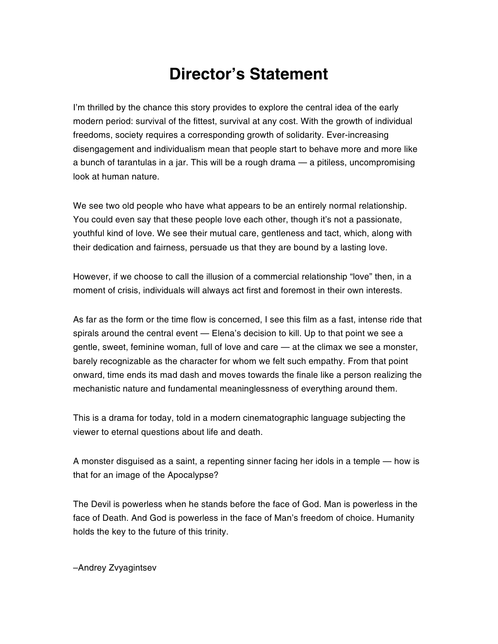# **Director's Statement**

I'm thrilled by the chance this story provides to explore the central idea of the early modern period: survival of the fittest, survival at any cost. With the growth of individual freedoms, society requires a corresponding growth of solidarity. Ever-increasing disengagement and individualism mean that people start to behave more and more like a bunch of tarantulas in a jar. This will be a rough drama — a pitiless, uncompromising look at human nature.

We see two old people who have what appears to be an entirely normal relationship. You could even say that these people love each other, though it's not a passionate, youthful kind of love. We see their mutual care, gentleness and tact, which, along with their dedication and fairness, persuade us that they are bound by a lasting love.

However, if we choose to call the illusion of a commercial relationship "love" then, in a moment of crisis, individuals will always act first and foremost in their own interests.

As far as the form or the time flow is concerned, I see this film as a fast, intense ride that spirals around the central event — Elena's decision to kill. Up to that point we see a gentle, sweet, feminine woman, full of love and care — at the climax we see a monster, barely recognizable as the character for whom we felt such empathy. From that point onward, time ends its mad dash and moves towards the finale like a person realizing the mechanistic nature and fundamental meaninglessness of everything around them.

This is a drama for today, told in a modern cinematographic language subjecting the viewer to eternal questions about life and death.

A monster disguised as a saint, a repenting sinner facing her idols in a temple — how is that for an image of the Apocalypse?

The Devil is powerless when he stands before the face of God. Man is powerless in the face of Death. And God is powerless in the face of Man's freedom of choice. Humanity holds the key to the future of this trinity.

–Andrey Zvyagintsev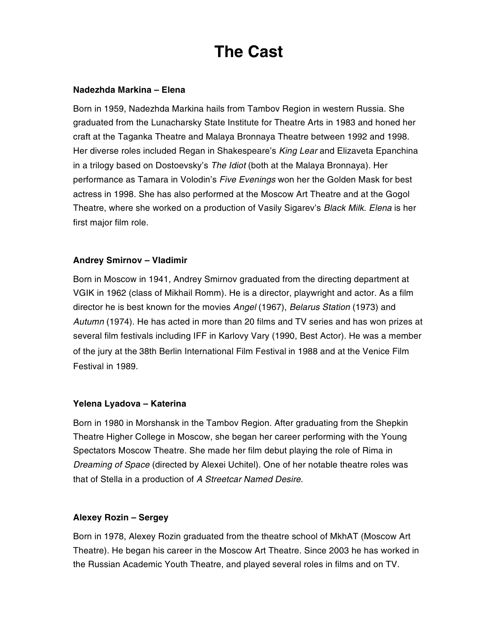# **The Cast**

#### **Nadezhda Markina – Elena**

Born in 1959, Nadezhda Markina hails from Tambov Region in western Russia. She graduated from the Lunacharsky State Institute for Theatre Arts in 1983 and honed her craft at the Taganka Theatre and Malaya Bronnaya Theatre between 1992 and 1998. Her diverse roles included Regan in Shakespeare's *King Lear* and Elizaveta Epanchina in a trilogy based on Dostoevsky's *The Idiot* (both at the Malaya Bronnaya). Her performance as Tamara in Volodin's *Five Evenings* won her the Golden Mask for best actress in 1998. She has also performed at the Moscow Art Theatre and at the Gogol Theatre, where she worked on a production of Vasily Sigarev's *Black Milk*. *Elena* is her first major film role.

#### **Andrey Smirnov – Vladimir**

Born in Moscow in 1941, Andrey Smirnov graduated from the directing department at VGIK in 1962 (class of Mikhail Romm). He is a director, playwright and actor. As a film director he is best known for the movies *Angel* (1967), *Belarus Station* (1973) and *Autumn* (1974). He has acted in more than 20 films and TV series and has won prizes at several film festivals including IFF in Karlovy Vary (1990, Best Actor). He was a member of the jury at the 38th Berlin International Film Festival in 1988 and at the Venice Film Festival in 1989.

#### **Yelena Lyadova – Katerina**

Born in 1980 in Morshansk in the Tambov Region. After graduating from the Shepkin Theatre Higher College in Moscow, she began her career performing with the Young Spectators Moscow Theatre. She made her film debut playing the role of Rima in *Dreaming of Space* (directed by Alexei Uchitel). One of her notable theatre roles was that of Stella in a production of *A Streetcar Named Desire*.

#### **Alexey Rozin – Sergey**

Born in 1978, Alexey Rozin graduated from the theatre school of MkhAT (Moscow Art Theatre). He began his career in the Moscow Art Theatre. Since 2003 he has worked in the Russian Academic Youth Theatre, and played several roles in films and on TV.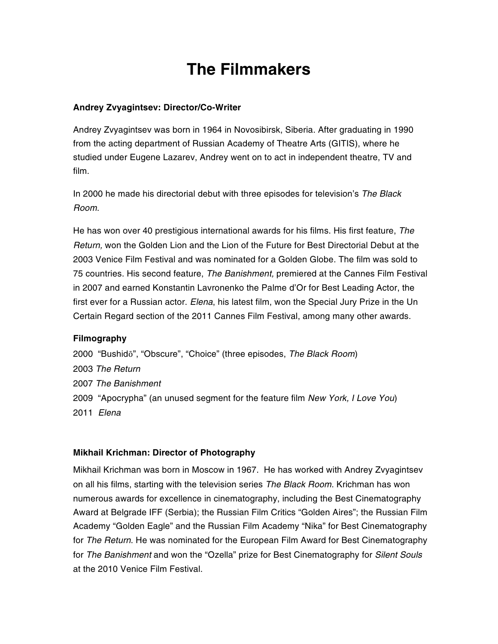# **The Filmmakers**

#### **Andrey Zvyagintsev: Director/Co-Writer**

Andrey Zvyagintsev was born in 1964 in Novosibirsk, Siberia. After graduating in 1990 from the acting department of Russian Academy of Theatre Arts (GITIS), where he studied under Eugene Lazarev, Andrey went on to act in independent theatre, TV and film.

In 2000 he made his directorial debut with three episodes for television's *The Black Room*.

He has won over 40 prestigious international awards for his films. His first feature, *The Return,* won the Golden Lion and the Lion of the Future for Best Directorial Debut at the 2003 Venice Film Festival and was nominated for a Golden Globe. The film was sold to 75 countries. His second feature, *The Banishment,* premiered at the Cannes Film Festival in 2007 and earned Konstantin Lavronenko the Palme d'Or for Best Leading Actor, the first ever for a Russian actor. *Elena*, his latest film, won the Special Jury Prize in the Un Certain Regard section of the 2011 Cannes Film Festival, among many other awards.

#### **Filmography**

2000 "Bushidō", "Obscure", "Choice" (three episodes, *The Black Room*) 2003 *The Return* 2007 *The Banishment* 2009 "Apocrypha" (an unused segment for the feature film *New York, I Love You*) 2011 *Elena*

#### **Mikhail Krichman: Director of Photography**

Mikhail Krichman was born in Moscow in 1967. He has worked with Andrey Zvyagintsev on all his films, starting with the television series *The Black Room*. Krichman has won numerous awards for excellence in cinematography, including the Best Cinematography Award at Belgrade IFF (Serbia); the Russian Film Critics "Golden Aires"; the Russian Film Academy "Golden Eagle" and the Russian Film Academy "Nika" for Best Cinematography for *The Return*. He was nominated for the European Film Award for Best Cinematography for *The Banishment* and won the "Ozella" prize for Best Cinematography for *Silent Souls* at the 2010 Venice Film Festival.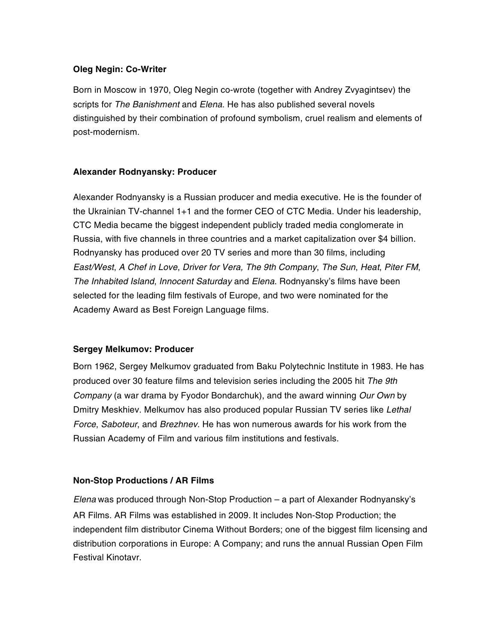#### **Oleg Negin: Co-Writer**

Born in Moscow in 1970, Oleg Negin co-wrote (together with Andrey Zvyagintsev) the scripts for *The Banishment* and *Elena*. He has also published several novels distinguished by their combination of profound symbolism, cruel realism and elements of post-modernism.

#### **Alexander Rodnyansky: Producer**

Alexander Rodnyansky is a Russian producer and media executive. He is the founder of the Ukrainian TV-channel 1+1 and the former CEO of CTC Media. Under his leadership, CTC Media became the biggest independent publicly traded media conglomerate in Russia, with five channels in three countries and a market capitalization over \$4 billion. Rodnyansky has produced over 20 TV series and more than 30 films, including *East/West*, *A Chef in Love*, *Driver for Vera, The 9th Company*, *The Sun*, *Heat*, *Piter FM*, *The Inhabited Island*, *Innocent Saturday* and *Elena*. Rodnyansky's films have been selected for the leading film festivals of Europe, and two were nominated for the Academy Award as Best Foreign Language films.

#### **Sergey Melkumov: Producer**

Born 1962, Sergey Melkumov graduated from Baku Polytechnic Institute in 1983. He has produced over 30 feature films and television series including the 2005 hit *The 9th Company* (a war drama by Fyodor Bondarchuk), and the award winning *Our Own* by Dmitry Meskhiev. Melkumov has also produced popular Russian TV series like *Lethal Force*, *Saboteur*, and *Brezhnev*. He has won numerous awards for his work from the Russian Academy of Film and various film institutions and festivals.

#### **Non-Stop Productions / AR Films**

*Elena* was produced through Non-Stop Production – a part of Alexander Rodnyansky's AR Films. AR Films was established in 2009. It includes Non-Stop Production; the independent film distributor Cinema Without Borders; one of the biggest film licensing and distribution corporations in Europe: A Company; and runs the annual Russian Open Film Festival Kinotavr.